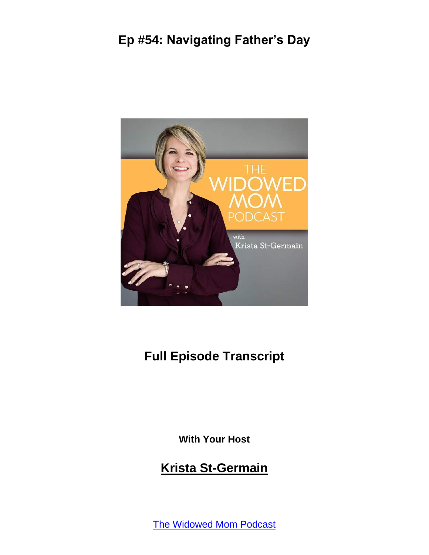

# **Full Episode Transcript**

**With Your Host**

#### **Krista St-Germain**

[The Widowed Mom Podcast](https://coachingwithkrista.com/podcast)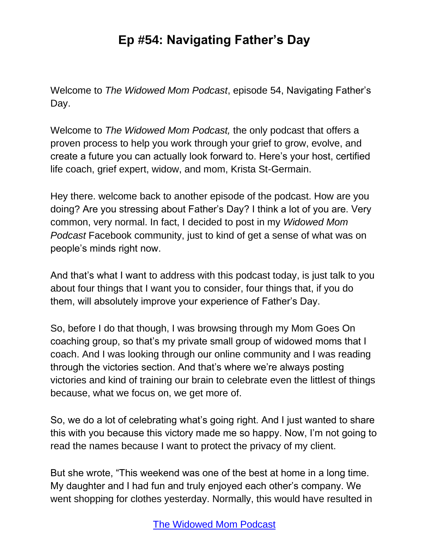Welcome to *The Widowed Mom Podcast*, episode 54, Navigating Father's Day.

Welcome to *The Widowed Mom Podcast,* the only podcast that offers a proven process to help you work through your grief to grow, evolve, and create a future you can actually look forward to. Here's your host, certified life coach, grief expert, widow, and mom, Krista St-Germain.

Hey there. welcome back to another episode of the podcast. How are you doing? Are you stressing about Father's Day? I think a lot of you are. Very common, very normal. In fact, I decided to post in my *Widowed Mom Podcast* Facebook community, just to kind of get a sense of what was on people's minds right now.

And that's what I want to address with this podcast today, is just talk to you about four things that I want you to consider, four things that, if you do them, will absolutely improve your experience of Father's Day.

So, before I do that though, I was browsing through my Mom Goes On coaching group, so that's my private small group of widowed moms that I coach. And I was looking through our online community and I was reading through the victories section. And that's where we're always posting victories and kind of training our brain to celebrate even the littlest of things because, what we focus on, we get more of.

So, we do a lot of celebrating what's going right. And I just wanted to share this with you because this victory made me so happy. Now, I'm not going to read the names because I want to protect the privacy of my client.

But she wrote, "This weekend was one of the best at home in a long time. My daughter and I had fun and truly enjoyed each other's company. We went shopping for clothes yesterday. Normally, this would have resulted in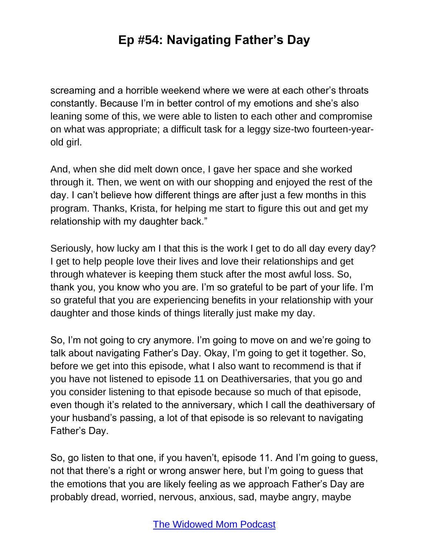screaming and a horrible weekend where we were at each other's throats constantly. Because I'm in better control of my emotions and she's also leaning some of this, we were able to listen to each other and compromise on what was appropriate; a difficult task for a leggy size-two fourteen-yearold girl.

And, when she did melt down once, I gave her space and she worked through it. Then, we went on with our shopping and enjoyed the rest of the day. I can't believe how different things are after just a few months in this program. Thanks, Krista, for helping me start to figure this out and get my relationship with my daughter back."

Seriously, how lucky am I that this is the work I get to do all day every day? I get to help people love their lives and love their relationships and get through whatever is keeping them stuck after the most awful loss. So, thank you, you know who you are. I'm so grateful to be part of your life. I'm so grateful that you are experiencing benefits in your relationship with your daughter and those kinds of things literally just make my day.

So, I'm not going to cry anymore. I'm going to move on and we're going to talk about navigating Father's Day. Okay, I'm going to get it together. So, before we get into this episode, what I also want to recommend is that if you have not listened to episode 11 on Deathiversaries, that you go and you consider listening to that episode because so much of that episode, even though it's related to the anniversary, which I call the deathiversary of your husband's passing, a lot of that episode is so relevant to navigating Father's Day.

So, go listen to that one, if you haven't, episode 11. And I'm going to guess, not that there's a right or wrong answer here, but I'm going to guess that the emotions that you are likely feeling as we approach Father's Day are probably dread, worried, nervous, anxious, sad, maybe angry, maybe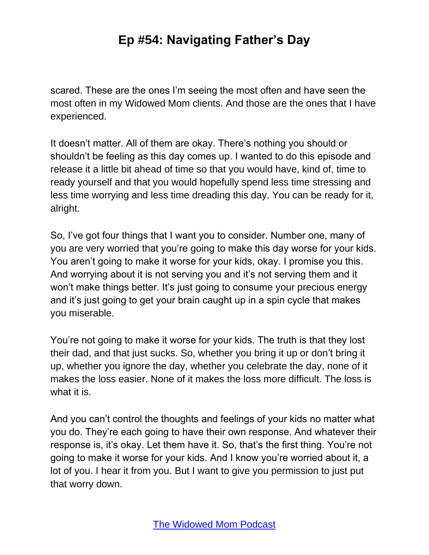scared. These are the ones I'm seeing the most often and have seen the most often in my Widowed Mom clients. And those are the ones that I have experienced.

It doesn't matter. All of them are okay. There's nothing you should or shouldn't be feeling as this day comes up. I wanted to do this episode and release it a little bit ahead of time so that you would have, kind of, time to ready yourself and that you would hopefully spend less time stressing and less time worrying and less time dreading this day. You can be ready for it, alright.

So, I've got four things that I want you to consider. Number one, many of you are very worried that you're going to make this day worse for your kids. You aren't going to make it worse for your kids, okay. I promise you this. And worrying about it is not serving you and it's not serving them and it won't make things better. It's just going to consume your precious energy and it's just going to get your brain caught up in a spin cycle that makes you miserable.

You're not going to make it worse for your kids. The truth is that they lost their dad, and that just sucks. So, whether you bring it up or don't bring it up, whether you ignore the day, whether you celebrate the day, none of it makes the loss easier. None of it makes the loss more difficult. The loss is what it is.

And you can't control the thoughts and feelings of your kids no matter what you do. They're each going to have their own response. And whatever their response is, it's okay. Let them have it. So, that's the first thing. You're not going to make it worse for your kids. And I know you're worried about it, a lot of you. I hear it from you. But I want to give you permission to just put that worry down.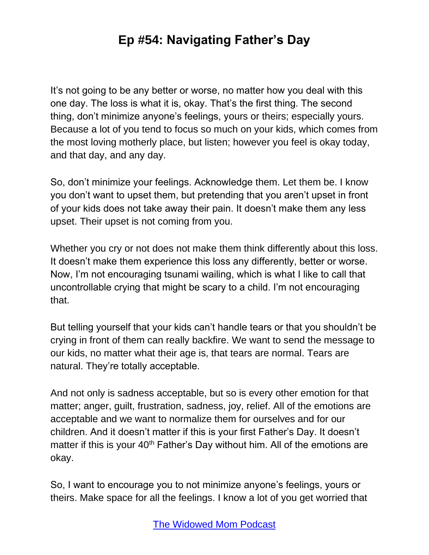It's not going to be any better or worse, no matter how you deal with this one day. The loss is what it is, okay. That's the first thing. The second thing, don't minimize anyone's feelings, yours or theirs; especially yours. Because a lot of you tend to focus so much on your kids, which comes from the most loving motherly place, but listen; however you feel is okay today, and that day, and any day.

So, don't minimize your feelings. Acknowledge them. Let them be. I know you don't want to upset them, but pretending that you aren't upset in front of your kids does not take away their pain. It doesn't make them any less upset. Their upset is not coming from you.

Whether you cry or not does not make them think differently about this loss. It doesn't make them experience this loss any differently, better or worse. Now, I'm not encouraging tsunami wailing, which is what I like to call that uncontrollable crying that might be scary to a child. I'm not encouraging that.

But telling yourself that your kids can't handle tears or that you shouldn't be crying in front of them can really backfire. We want to send the message to our kids, no matter what their age is, that tears are normal. Tears are natural. They're totally acceptable.

And not only is sadness acceptable, but so is every other emotion for that matter; anger, guilt, frustration, sadness, joy, relief. All of the emotions are acceptable and we want to normalize them for ourselves and for our children. And it doesn't matter if this is your first Father's Day. It doesn't matter if this is your 40<sup>th</sup> Father's Day without him. All of the emotions are okay.

So, I want to encourage you to not minimize anyone's feelings, yours or theirs. Make space for all the feelings. I know a lot of you get worried that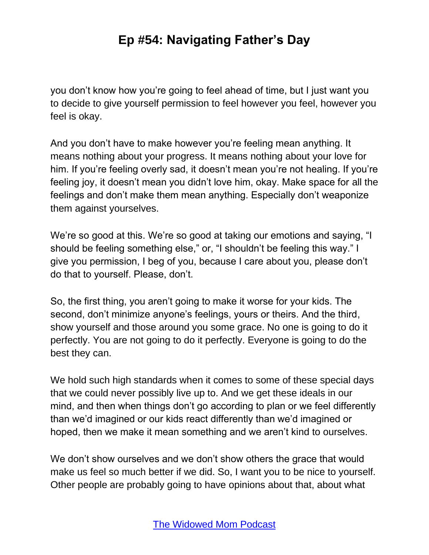you don't know how you're going to feel ahead of time, but I just want you to decide to give yourself permission to feel however you feel, however you feel is okay.

And you don't have to make however you're feeling mean anything. It means nothing about your progress. It means nothing about your love for him. If you're feeling overly sad, it doesn't mean you're not healing. If you're feeling joy, it doesn't mean you didn't love him, okay. Make space for all the feelings and don't make them mean anything. Especially don't weaponize them against yourselves.

We're so good at this. We're so good at taking our emotions and saying, "I should be feeling something else," or, "I shouldn't be feeling this way." I give you permission, I beg of you, because I care about you, please don't do that to yourself. Please, don't.

So, the first thing, you aren't going to make it worse for your kids. The second, don't minimize anyone's feelings, yours or theirs. And the third, show yourself and those around you some grace. No one is going to do it perfectly. You are not going to do it perfectly. Everyone is going to do the best they can.

We hold such high standards when it comes to some of these special days that we could never possibly live up to. And we get these ideals in our mind, and then when things don't go according to plan or we feel differently than we'd imagined or our kids react differently than we'd imagined or hoped, then we make it mean something and we aren't kind to ourselves.

We don't show ourselves and we don't show others the grace that would make us feel so much better if we did. So, I want you to be nice to yourself. Other people are probably going to have opinions about that, about what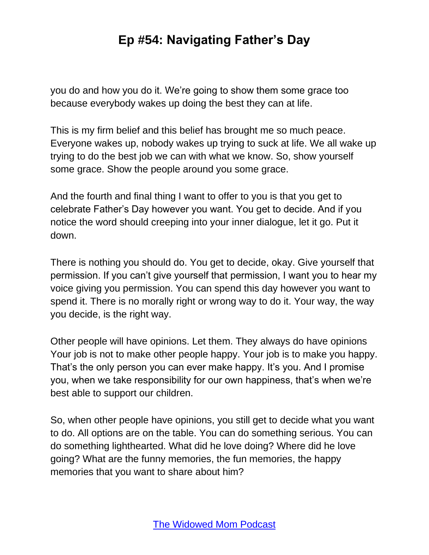you do and how you do it. We're going to show them some grace too because everybody wakes up doing the best they can at life.

This is my firm belief and this belief has brought me so much peace. Everyone wakes up, nobody wakes up trying to suck at life. We all wake up trying to do the best job we can with what we know. So, show yourself some grace. Show the people around you some grace.

And the fourth and final thing I want to offer to you is that you get to celebrate Father's Day however you want. You get to decide. And if you notice the word should creeping into your inner dialogue, let it go. Put it down.

There is nothing you should do. You get to decide, okay. Give yourself that permission. If you can't give yourself that permission, I want you to hear my voice giving you permission. You can spend this day however you want to spend it. There is no morally right or wrong way to do it. Your way, the way you decide, is the right way.

Other people will have opinions. Let them. They always do have opinions Your job is not to make other people happy. Your job is to make you happy. That's the only person you can ever make happy. It's you. And I promise you, when we take responsibility for our own happiness, that's when we're best able to support our children.

So, when other people have opinions, you still get to decide what you want to do. All options are on the table. You can do something serious. You can do something lighthearted. What did he love doing? Where did he love going? What are the funny memories, the fun memories, the happy memories that you want to share about him?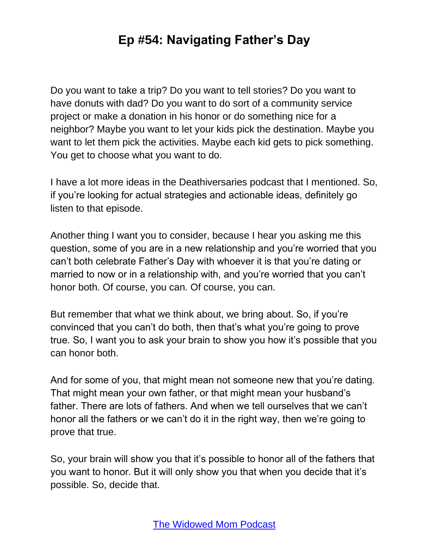Do you want to take a trip? Do you want to tell stories? Do you want to have donuts with dad? Do you want to do sort of a community service project or make a donation in his honor or do something nice for a neighbor? Maybe you want to let your kids pick the destination. Maybe you want to let them pick the activities. Maybe each kid gets to pick something. You get to choose what you want to do.

I have a lot more ideas in the Deathiversaries podcast that I mentioned. So, if you're looking for actual strategies and actionable ideas, definitely go listen to that episode.

Another thing I want you to consider, because I hear you asking me this question, some of you are in a new relationship and you're worried that you can't both celebrate Father's Day with whoever it is that you're dating or married to now or in a relationship with, and you're worried that you can't honor both. Of course, you can. Of course, you can.

But remember that what we think about, we bring about. So, if you're convinced that you can't do both, then that's what you're going to prove true. So, I want you to ask your brain to show you how it's possible that you can honor both.

And for some of you, that might mean not someone new that you're dating. That might mean your own father, or that might mean your husband's father. There are lots of fathers. And when we tell ourselves that we can't honor all the fathers or we can't do it in the right way, then we're going to prove that true.

So, your brain will show you that it's possible to honor all of the fathers that you want to honor. But it will only show you that when you decide that it's possible. So, decide that.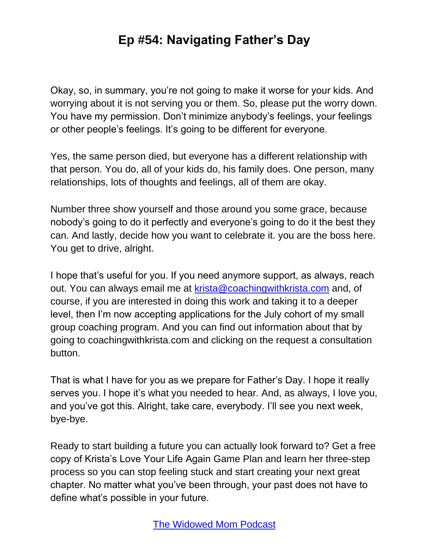Okay, so, in summary, you're not going to make it worse for your kids. And worrying about it is not serving you or them. So, please put the worry down. You have my permission. Don't minimize anybody's feelings, your feelings or other people's feelings. It's going to be different for everyone.

Yes, the same person died, but everyone has a different relationship with that person. You do, all of your kids do, his family does. One person, many relationships, lots of thoughts and feelings, all of them are okay.

Number three show yourself and those around you some grace, because nobody's going to do it perfectly and everyone's going to do it the best they can. And lastly, decide how you want to celebrate it. you are the boss here. You get to drive, alright.

I hope that's useful for you. If you need anymore support, as always, reach out. You can always email me at [krista@coachingwithkrista.com](mailto:krista@coachingwithkrista.com) and, of course, if you are interested in doing this work and taking it to a deeper level, then I'm now accepting applications for the July cohort of my small group coaching program. And you can find out information about that by going to coachingwithkrista.com and clicking on the request a consultation button.

That is what I have for you as we prepare for Father's Day. I hope it really serves you. I hope it's what you needed to hear. And, as always, I love you, and you've got this. Alright, take care, everybody. I'll see you next week, bye-bye.

Ready to start building a future you can actually look forward to? Get a free copy of Krista's Love Your Life Again Game Plan and learn her three-step process so you can stop feeling stuck and start creating your next great chapter. No matter what you've been through, your past does not have to define what's possible in your future.